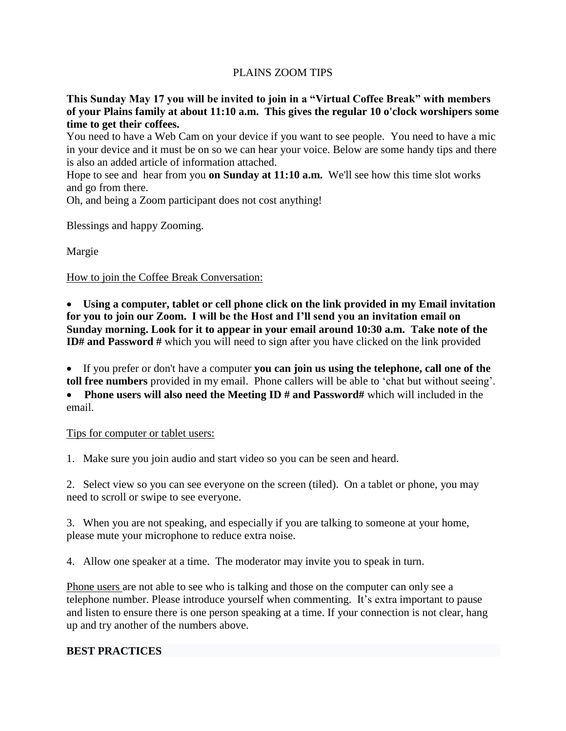## PLAINS ZOOM TIPS

**This Sunday May 17 you will be invited to join in a "Virtual Coffee Break" with members of your Plains family at about 11:10 a.m. This gives the regular 10 o'clock worshipers some time to get their coffees.**

You need to have a Web Cam on your device if you want to see people. You need to have a mic in your device and it must be on so we can hear your voice. Below are some handy tips and there is also an added article of information attached.

Hope to see and hear from you **on Sunday at 11:10 a.m.** We'll see how this time slot works and go from there.

Oh, and being a Zoom participant does not cost anything!

Blessings and happy Zooming.

Margie

How to join the Coffee Break Conversation:

 **Using a computer, tablet or cell phone click on the link provided in my Email invitation for you to join our Zoom. I will be the Host and I'll send you an invitation email on Sunday morning. Look for it to appear in your email around 10:30 a.m. Take note of the ID#** and Password # which you will need to sign after you have clicked on the link provided

 If you prefer or don't have a computer **you can join us using the telephone, call one of the toll free numbers** provided in my email. Phone callers will be able to 'chat but without seeing'. • Phone users will also need the Meeting ID # and Password# which will included in the email.

## Tips for computer or tablet users:

1. Make sure you join audio and start video so you can be seen and heard.

2. Select view so you can see everyone on the screen (tiled). On a tablet or phone, you may need to scroll or swipe to see everyone.

3. When you are not speaking, and especially if you are talking to someone at your home, please mute your microphone to reduce extra noise.

4. Allow one speaker at a time. The moderator may invite you to speak in turn.

Phone users are not able to see who is talking and those on the computer can only see a telephone number. Please introduce yourself when commenting. It's extra important to pause and listen to ensure there is one person speaking at a time. If your connection is not clear, hang up and try another of the numbers above.

## **BEST PRACTICES**